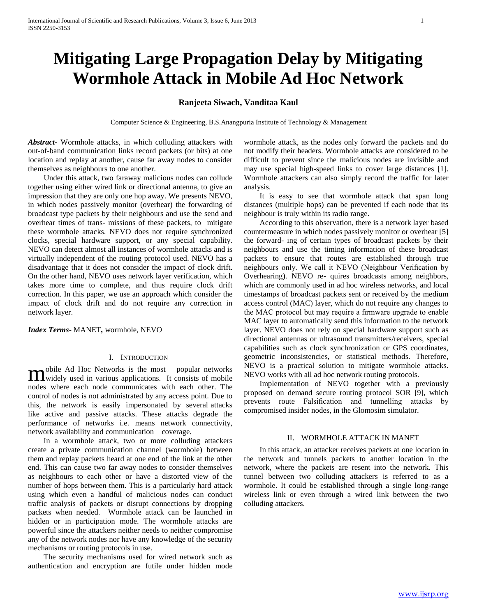# **Mitigating Large Propagation Delay by Mitigating Wormhole Attack in Mobile Ad Hoc Network**

# **Ranjeeta Siwach, Vanditaa Kaul**

Computer Science & Engineering, B.S.Anangpuria Institute of Technology & Management

*Abstract***-** Wormhole attacks, in which colluding attackers with out-of-band communication links record packets (or bits) at one location and replay at another, cause far away nodes to consider themselves as neighbours to one another.

 Under this attack, two faraway malicious nodes can collude together using either wired link or directional antenna, to give an impression that they are only one hop away. We presents NEVO, in which nodes passively monitor (overhear) the forwarding of broadcast type packets by their neighbours and use the send and overhear times of trans- missions of these packets, to mitigate these wormhole attacks. NEVO does not require synchronized clocks, special hardware support, or any special capability. NEVO can detect almost all instances of wormhole attacks and is virtually independent of the routing protocol used. NEVO has a disadvantage that it does not consider the impact of clock drift. On the other hand, NEVO uses network layer verification, which takes more time to complete, and thus require clock drift correction. In this paper, we use an approach which consider the impact of clock drift and do not require any correction in network layer.

*Index Terms*- MANET*,* wormhole, NEVO

# I. INTRODUCTION

obile Ad Hoc Networks is the most popular networks **M** obile Ad Hoc Networks is the most popular networks<br> **M** widely used in various applications. It consists of mobile nodes where each node communicates with each other. The control of nodes is not administrated by any access point. Due to this, the network is easily impersonated by several attacks like active and passive attacks. These attacks degrade the performance of networks i.e. means network connectivity, network availability and communication coverage.

 In a wormhole attack, two or more colluding attackers create a private communication channel (wormhole) between them and replay packets heard at one end of the link at the other end. This can cause two far away nodes to consider themselves as neighbours to each other or have a distorted view of the number of hops between them. This is a particularly hard attack using which even a handful of malicious nodes can conduct traffic analysis of packets or disrupt connections by dropping packets when needed. Wormhole attack can be launched in hidden or in participation mode. The wormhole attacks are powerful since the attackers neither needs to neither compromise any of the network nodes nor have any knowledge of the security mechanisms or routing protocols in use.

 The security mechanisms used for wired network such as authentication and encryption are futile under hidden mode

wormhole attack, as the nodes only forward the packets and do not modify their headers. Wormhole attacks are considered to be difficult to prevent since the malicious nodes are invisible and may use special high-speed links to cover large distances [1]. Wormhole attackers can also simply record the traffic for later analysis.

 It is easy to see that wormhole attack that span long distances (multiple hops) can be prevented if each node that its neighbour is truly within its radio range.

 According to this observation, there is a network layer based countermeasure in which nodes passively monitor or overhear [5] the forward- ing of certain types of broadcast packets by their neighbours and use the timing information of these broadcast packets to ensure that routes are established through true neighbours only. We call it NEVO (Neighbour Verification by Overhearing). NEVO re- quires broadcasts among neighbors, which are commonly used in ad hoc wireless networks, and local timestamps of broadcast packets sent or received by the medium access control (MAC) layer, which do not require any changes to the MAC protocol but may require a firmware upgrade to enable MAC layer to automatically send this information to the network layer. NEVO does not rely on special hardware support such as directional antennas or ultrasound transmitters/receivers, special capabilities such as clock synchronization or GPS coordinates, geometric inconsistencies, or statistical methods. Therefore, NEVO is a practical solution to mitigate wormhole attacks. NEVO works with all ad hoc network routing protocols.

 Implementation of NEVO together with a previously proposed on demand secure routing protocol SOR [9], which prevents route Falsification and tunnelling attacks by compromised insider nodes, in the Glomosim simulator.

### II. WORMHOLE ATTACK IN MANET

 In this attack, an attacker receives packets at one location in the network and tunnels packets to another location in the network, where the packets are resent into the network. This tunnel between two colluding attackers is referred to as a wormhole. It could be established through a single long-range wireless link or even through a wired link between the two colluding attackers.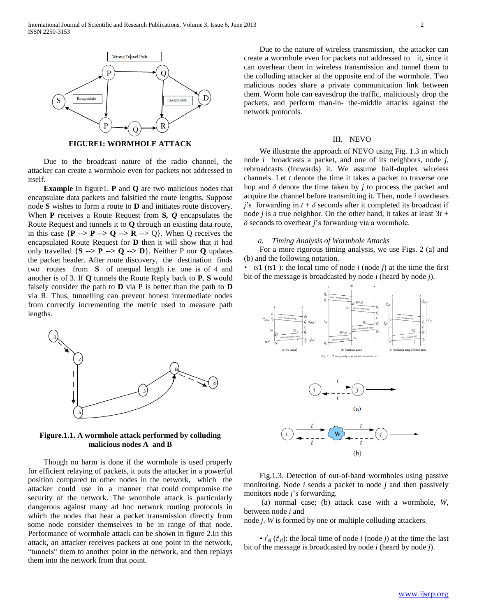

**FIGURE1: WORMHOLE ATTACK**

 Due to the broadcast nature of the radio channel, the attacker can create a wormhole even for packets not addressed to itself.

 **Example** In figure1. **P** and **Q** are two malicious nodes that encapsulate data packets and falsified the route lengths. Suppose node **S** wishes to form a route to **D** and initiates route discovery. When **P** receives a Route Request from **S***, Q* encapsulates the Route Request and tunnels it to **Q** through an existing data route, in this case  $\{P \rightarrow P \rightarrow Q \rightarrow R \rightarrow Q\}$ . When Q receives the encapsulated Route Request for **D** then it will show that it had only travelled  $\{S \rightarrow P \rightarrow Q \rightarrow D\}$ . Neither P nor **Q** updates the packet header. After route discovery, the destination finds two routes from **S** of unequal length i.e. one is of 4 and another is of 3. If **Q** tunnels the Route Reply back to **P**, **S** would falsely consider the path to **D** via P is better than the path to **D**  via R. Thus, tunnelling can prevent honest intermediate nodes from correctly incrementing the metric used to measure path lengths.



**Figure.1.1. A wormhole attack performed by colluding malicious nodes A and B**

 Though no harm is done if the wormhole is used properly for efficient relaying of packets, it puts the attacker in a powerful position compared to other nodes in the network, which the attacker could use in a manner that could compromise the security of the network. The wormhole attack is particularly dangerous against many ad hoc network routing protocols in which the nodes that hear a packet transmission directly from some node consider themselves to be in range of that node. Performance of wormhole attack can be shown in figure 2.In this attack, an attacker receives packets at one point in the network, "tunnels" them to another point in the network, and then replays them into the network from that point.

 Due to the nature of wireless transmission, the attacker can create a wormhole even for packets not addressed to it, since it can overhear them in wireless transmission and tunnel them to the colluding attacker at the opposite end of the wormhole. Two malicious nodes share a private communication link between them. Worm hole can eavesdrop the traffic, maliciously drop the packets, and perform man-in- the-middle attacks against the network protocols.

#### III. NEVO

 We illustrate the approach of NEVO using Fig. 1.3 in which node *i* broadcasts a packet, and one of its neighbors, node *j*, rebroadcasts (forwards) it. We assume half-duplex wireless channels. Let *t* denote the time it takes a packet to traverse one hop and *δ* denote the time taken by *j* to process the packet and acquire the channel before transmitting it. Then, node *i* overhears *j*'s forwarding in  $t + \delta$  seconds after it completed its broadcast if node *j* is a true neighbor. On the other hand, it takes at least  $3t +$ *δ* seconds to overhear *j*'s forwarding via a wormhole.

# *a. Timing Analysis of Wormhole Attacks*

 For a more rigorous timing analysis, we use Figs. 2 (a) and (b) and the following notation.

*• ts*1 (*ts*1 ): the local time of node *i* (node *j*) at the time the first bit of the message is broadcasted by node *i* (heard by node *j*).



 Fig.1.3. Detection of out-of-band wormholes using passive monitoring. Node *i* sends a packet to node *j* and then passively monitors node *j*'s forwarding.

 (a) normal case; (b) attack case with a wormhole, *W*, between node *i* and

node *j*. *W* is formed by one or multiple colluding attackers.

•  $t_{sl}^{i}$  ( $t_{sl}^{j}$ ): the local time of node *i* (node *j*) at the time the last bit of the message is broadcasted by node *i* (heard by node *j*).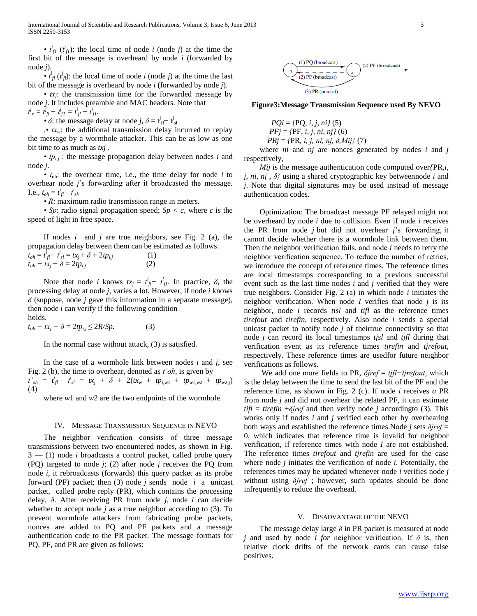•  $t_{fl}^i$  ( $t_{fl}^j$ ): the local time of node *i* (node *j*) at the time the first bit of the message is overheard by node *i* (forwarded by node *j*).

•  $t^i_{\mathcal{J}}(t^j_{\mathcal{J}})$ : the local time of node *i* (node *j*) at the time the last bit of the message is overheard by node *i* (forwarded by node *j*).

 *• tx<sup>j</sup>* : the transmission time for the forwarded message by node *j*. It includes preamble and MAC headers. Note that

 $t^j_x = \dot{t}^j_{\text{fl}} - t^j_{\text{fl}} = t^i_{\text{fl}} - t^i_{\text{fl}}.$ 

•  $\delta$ : the message delay at node *j*,  $\delta = t_{\text{fl}}^j - t_{\text{sl}}^j$ 

 $\cdot$  *tx<sub>w</sub>*: the additional transmission delay incurred to replay the message by a wormhole attacker. This can be as low as one bit time to as much as *txj* .

•  $tp_{i,j}$ : the message propagation delay between nodes *i* and node *j*.

 *• t*oh: the overhear time, i.e., the time delay for node *i* to overhear node *j*'s forwarding after it broadcasted the message. **I.e.**,  $t_{oh} = t^i_{fl} − t^i_{sl}$ .

*• R*: maximum radio transmission range in meters.

 *• Sp*: radio signal propagation speed; *Sp < c*, where *c* is the speed of light in free space.

 If nodes *i* and *j* are true neighbors, see Fig. 2 (a), the propagation delay between them can be estimated as follows.

| $t_{oh} = t_{fl}^l - t_{sl}^l = tx_j + \delta + 2tp_{i,j}$ | (1) |
|------------------------------------------------------------|-----|
| $t_{oh} - tx_j - \delta = 2tp_{i,j}$                       | (2) |

Note that node *i* knows  $tx_j = t_{j-1}^i - t_{j-1}^i$ . In practice,  $\delta$ , the processing delay at node *j*, varies a lot. However, if node *i* knows *δ* (suppose, node *j* gave this information in a separate message), then node *i* can verify if the following condition holds.

 $t_{oh} - tx_i - \delta = 2tp_{i,j} \leq 2R/Sp.$  (3)

In the normal case without attack, (3) is satisfied.

 In the case of a wormhole link between nodes *i* and *j*, see Fig. 2 (b), the time to overhear, denoted as *t'oh*, is given by  $t'$ <sub>*oh*</sub> =  $t^i_{fl} - t^i_{sl} = tx_j + \delta + 2(tx_w + tp_{i,w1} + tp_{w1,w2} + tp_{w2,j})$ (4)

where *w*1 and *w*2 are the two endpoints of the wormhole.

### IV. MESSAGE TRANSMISSION SEQUENCE IN NEVO

 The neighbor verification consists of three message transmissions between two encountered nodes, as shown in Fig. 3 — (1) node *i* broadcasts a control packet, called probe query (PQ) targeted to node *j*; (2) after node *j* receives the PQ from node *i*, it rebroadcasts (forwards) this query packet as its probe forward (PF) packet; then (3) node *j* sends node *i* a unicast packet, called probe reply (PR), which contains the processing delay, *δ*. After receiving PR from node *j*, node *i* can decide whether to accept node *j* as a true neighbor according to (3). To prevent wormhole attackers from fabricating probe packets, nonces are added to PQ and PF packets and a message authentication code to the PR packet. The message formats for PQ, PF, and PR are given as follows:



**Figure3:Message Transmission Sequence used By NEVO**

$$
PQi = \{PQ, i, j, ni\} (5)
$$
  
PFj = \{PF, i, j, ni, nj\} (6)  
PRj = \{PR, i, j, ni, nj, \delta, Mij\} (7)

 where *ni* and *nj* are nonces generated by nodes *i* and *j*  respectively,

 *Mij* is the message authentication code computed over*{*PR,*i*, *j*, *ni*, *nj* , *δ}* using a shared cryptographic key betweennode *i* and *j*. Note that digital signatures may be used instead of message authentication codes.

 Optimization: The broadcast message PF relayed might not be overheard by node *i* due to collision. Even if node *i* receives the PR from node *j* but did not overhear *j*'s forwarding, it cannot decide whether there is a wormhole link between them. Then the neighbor verification fails, and node *i* needs to retry the neighbor verification sequence. To reduce the number of retries, we introduce the concept of reference times. The reference times are local timestamps corresponding to a previous successful event such as the last time nodes *i* and *j* verified that they were true neighbors. Consider Fig. 2 (a) in which node *i* initiates the neighbor verification. When node *I* verifies that node *j* is its neighbor, node *i* records *tisl* and *tifl* as the reference times *tirefout* and *tirefin*, respectively. Also node *i* sends a special unicast packet to notify node *j* of theirtrue connectivity so that node *j* can record its local timestamps *tjsl* and *tjfl* during that verification event as its reference times *tjrefin* and *tjrefout*, respectively. These reference times are usedfor future neighbor verifications as follows.

 We add one more fields to PR, *δjref* = *tjfl−tjrefout*, which is the delay between the time to send the last bit of the PF and the reference time, as shown in Fig. 2 (c). If node *i* receives *a* PR from node *j* and did not overhear the related PF, it can estimate  $\text{trif } l = \text{tirefin } + \delta \text{iref}$  and then verify node *j* according to (3). This works only if nodes *i* and *j* verified each other by overhearing both ways and established the reference times.Node *j* sets *δjref* = 0, which indicates that reference time is invalid for neighbor verification, if reference times with node *I* are not established. The reference times *tirefout* and *tjrefin* are used for the case where node *j* initiates the verification of node *i*. Potentially, the references times may be updated whenever node *i* verifies node *j*  without using *δjref* ; however, such updates should be done infrequently to reduce the overhead.

### V. DISADVANTAGE OF THE NEVO

 The message delay large *δ* in PR packet is measured at node *j* and used by node *i for* neighbor verification. If *δ* is, then relative clock drifts of the network cards can cause false positives.